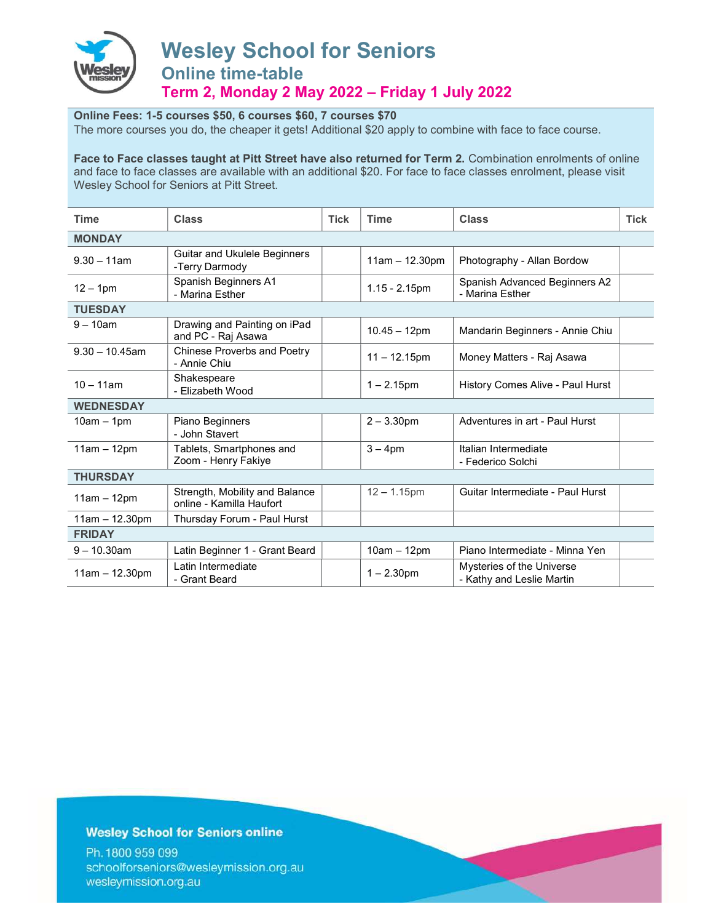

# Wesley School for Seniors Online time-table Term 2, Monday 2 May 2022 – Friday 1 July 2022

#### Online Fees: 1-5 courses \$50, 6 courses \$60, 7 courses \$70

The more courses you do, the cheaper it gets! Additional \$20 apply to combine with face to face course.

Face to Face classes taught at Pitt Street have also returned for Term 2. Combination enrolments of online and face to face classes are available with an additional \$20. For face to face classes enrolment, please visit Wesley School for Seniors at Pitt Street.

| <b>Time</b>       | <b>Class</b>                                               | <b>Tick</b> | <b>Time</b>      | <b>Class</b>                                           | <b>Tick</b> |  |
|-------------------|------------------------------------------------------------|-------------|------------------|--------------------------------------------------------|-------------|--|
| <b>MONDAY</b>     |                                                            |             |                  |                                                        |             |  |
| $9.30 - 11$ am    | Guitar and Ukulele Beginners<br>-Terry Darmody             |             | $11am - 12.30pm$ | Photography - Allan Bordow                             |             |  |
| $12 - 1$ pm       | Spanish Beginners A1<br>- Marina Esther                    |             | $1.15 - 2.15$ pm | Spanish Advanced Beginners A2<br>- Marina Esther       |             |  |
| <b>TUESDAY</b>    |                                                            |             |                  |                                                        |             |  |
| $9 - 10$ am       | Drawing and Painting on iPad<br>and PC - Raj Asawa         |             | $10.45 - 12$ pm  | Mandarin Beginners - Annie Chiu                        |             |  |
| $9.30 - 10.45$ am | <b>Chinese Proverbs and Poetry</b><br>- Annie Chiu         |             | $11 - 12.15$ pm  | Money Matters - Raj Asawa                              |             |  |
| $10 - 11$ am      | Shakespeare<br>- Elizabeth Wood                            |             | $1 - 2.15$ pm    | History Comes Alive - Paul Hurst                       |             |  |
| <b>WEDNESDAY</b>  |                                                            |             |                  |                                                        |             |  |
| $10am - 1pm$      | Piano Beginners<br>- John Stavert                          |             | $2 - 3.30$ pm    | Adventures in art - Paul Hurst                         |             |  |
| $11am - 12pm$     | Tablets, Smartphones and<br>Zoom - Henry Fakiye            |             | $3 - 4$ pm       | Italian Intermediate<br>- Federico Solchi              |             |  |
| <b>THURSDAY</b>   |                                                            |             |                  |                                                        |             |  |
| $11am - 12pm$     | Strength, Mobility and Balance<br>online - Kamilla Haufort |             | $12 - 1.15$ pm   | Guitar Intermediate - Paul Hurst                       |             |  |
| $11am - 12.30pm$  | Thursday Forum - Paul Hurst                                |             |                  |                                                        |             |  |
| <b>FRIDAY</b>     |                                                            |             |                  |                                                        |             |  |
| $9 - 10.30$ am    | Latin Beginner 1 - Grant Beard                             |             | $10am - 12pm$    | Piano Intermediate - Minna Yen                         |             |  |
| $11am - 12.30pm$  | Latin Intermediate<br>- Grant Beard                        |             | $1 - 2.30$ pm    | Mysteries of the Universe<br>- Kathy and Leslie Martin |             |  |

#### **Wesley School for Seniors online**

Ph. 1800 959 099 schoolforseniors@wesleymission.org.au wesleymission.org.au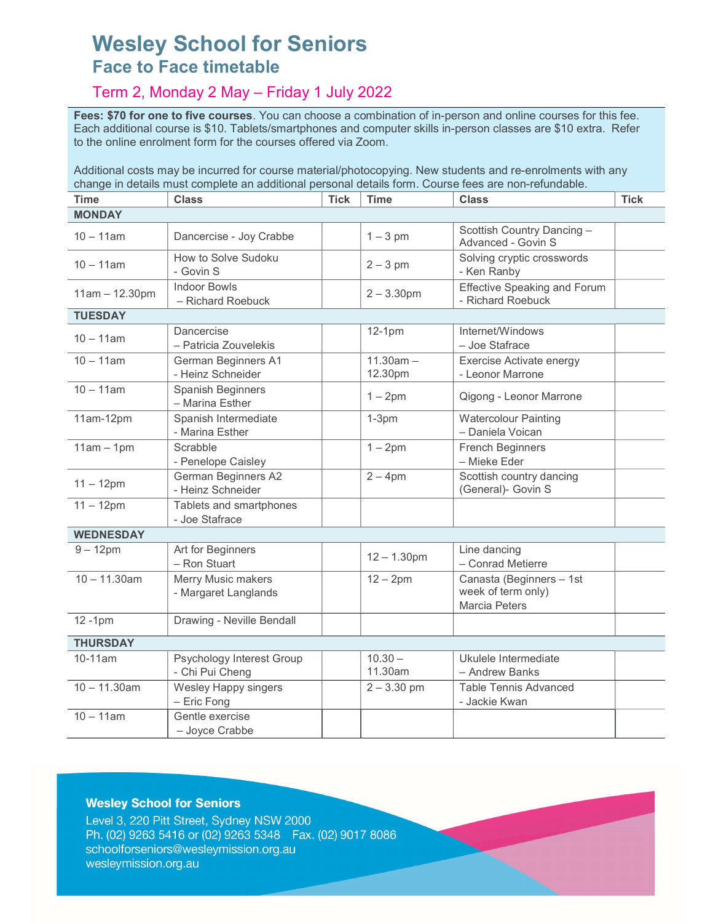# Wesley School for Seniors Face to Face timetable

## Term 2, Monday 2 May – Friday 1 July 2022

Fees: \$70 for one to five courses. You can choose a combination of in-person and online courses for this fee. Each additional course is \$10. Tablets/smartphones and computer skills in-person classes are \$10 extra. Refer to the online enrolment form for the courses offered via Zoom.

Additional costs may be incurred for course material/photocopying. New students and re-enrolments with any change in details must complete an additional personal details form. Course fees are non-refundable.

| <b>Time</b>      | <b>Class</b>                                    | <b>Tick</b> | <b>Time</b>            | <b>Class</b>                                                    | <b>Tick</b> |  |
|------------------|-------------------------------------------------|-------------|------------------------|-----------------------------------------------------------------|-------------|--|
| <b>MONDAY</b>    |                                                 |             |                        |                                                                 |             |  |
| $10 - 11$ am     | Dancercise - Joy Crabbe                         |             | $1 - 3$ pm             | Scottish Country Dancing -<br>Advanced - Govin S                |             |  |
| $10 - 11$ am     | How to Solve Sudoku<br>- Govin S                |             | $2 - 3$ pm             | Solving cryptic crosswords<br>- Ken Ranby                       |             |  |
| $11am - 12.30pm$ | <b>Indoor Bowls</b><br>- Richard Roebuck        |             | $2 - 3.30$ pm          | <b>Effective Speaking and Forum</b><br>- Richard Roebuck        |             |  |
| <b>TUESDAY</b>   |                                                 |             |                        |                                                                 |             |  |
| $10 - 11$ am     | Dancercise<br>- Patricia Zouvelekis             |             | $12-1pm$               | Internet/Windows<br>- Joe Stafrace                              |             |  |
| $10 - 11$ am     | German Beginners A1<br>- Heinz Schneider        |             | $11.30am -$<br>12.30pm | Exercise Activate energy<br>- Leonor Marrone                    |             |  |
| $10 - 11$ am     | <b>Spanish Beginners</b><br>- Marina Esther     |             | $1 - 2pm$              | Qigong - Leonor Marrone                                         |             |  |
| 11am-12pm        | Spanish Intermediate<br>- Marina Esther         |             | $1-3pm$                | <b>Watercolour Painting</b><br>- Daniela Voican                 |             |  |
| $11am - 1pm$     | Scrabble<br>- Penelope Caisley                  |             | $1 - 2pm$              | <b>French Beginners</b><br>- Mieke Eder                         |             |  |
| $11 - 12$ pm     | <b>German Beginners A2</b><br>- Heinz Schneider |             | $2 - 4$ pm             | Scottish country dancing<br>(General)- Govin S                  |             |  |
| $11 - 12$ pm     | Tablets and smartphones<br>- Joe Stafrace       |             |                        |                                                                 |             |  |
| <b>WEDNESDAY</b> |                                                 |             |                        |                                                                 |             |  |
| $9 - 12$ pm      | Art for Beginners<br>- Ron Stuart               |             | $12 - 1.30$ pm         | Line dancing<br>- Conrad Metierre                               |             |  |
| $10 - 11.30$ am  | Merry Music makers<br>- Margaret Langlands      |             | $12 - 2$ pm            | Canasta (Beginners - 1st<br>week of term only)<br>Marcia Peters |             |  |
| $12 - 1pm$       | Drawing - Neville Bendall                       |             |                        |                                                                 |             |  |
| <b>THURSDAY</b>  |                                                 |             |                        |                                                                 |             |  |
| 10-11am          | Psychology Interest Group<br>- Chi Pui Cheng    |             | $10.30 -$<br>11.30am   | Ukulele Intermediate<br>- Andrew Banks                          |             |  |
| $10 - 11.30$ am  | Wesley Happy singers<br>- Eric Fong             |             | $2 - 3.30$ pm          | Table Tennis Advanced<br>- Jackie Kwan                          |             |  |
| $10 - 11$ am     | Gentle exercise<br>- Joyce Crabbe               |             |                        |                                                                 |             |  |

### **Wesley School for Seniors**

Level 3, 220 Pitt Street, Sydney NSW 2000 Ph. (02) 9263 5416 or (02) 9263 5348 Fax. (02) 9017 8086 schoolforseniors@wesleymission.org.au wesleymission.org.au